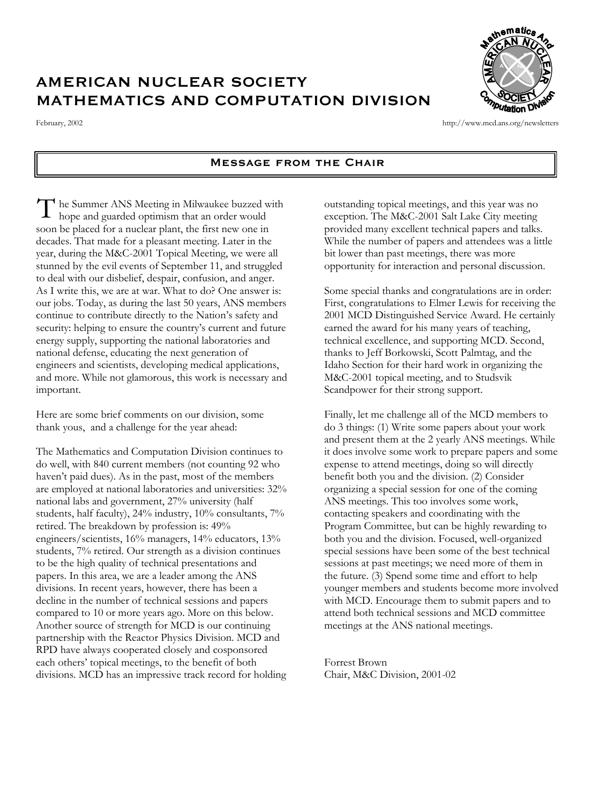# AMERICAN NUCLEAR SOCIETY MATHEMATICS AND COMPUTATION DIVISION

athematics A N S

February, 2002 http://www.mcd.ans.org/newsletters

## Message from the Chair

he Summer ANS Meeting in Milwaukee buzzed with The Summer ANS Meeting in Milwaukee buzzed by hope and guarded optimism that an order would soon be placed for a nuclear plant, the first new one in decades. That made for a pleasant meeting. Later in the year, during the M&C-2001 Topical Meeting, we were all stunned by the evil events of September 11, and struggled to deal with our disbelief, despair, confusion, and anger. As I write this, we are at war. What to do? One answer is: our jobs. Today, as during the last 50 years, ANS members continue to contribute directly to the Nation's safety and security: helping to ensure the country's current and future energy supply, supporting the national laboratories and national defense, educating the next generation of engineers and scientists, developing medical applications, and more. While not glamorous, this work is necessary and important.

Here are some brief comments on our division, some thank yous, and a challenge for the year ahead:

The Mathematics and Computation Division continues to do well, with 840 current members (not counting 92 who haven't paid dues). As in the past, most of the members are employed at national laboratories and universities: 32% national labs and government, 27% university (half students, half faculty), 24% industry, 10% consultants, 7% retired. The breakdown by profession is: 49% engineers/scientists, 16% managers, 14% educators, 13% students, 7% retired. Our strength as a division continues to be the high quality of technical presentations and papers. In this area, we are a leader among the ANS divisions. In recent years, however, there has been a decline in the number of technical sessions and papers compared to 10 or more years ago. More on this below. Another source of strength for MCD is our continuing partnership with the Reactor Physics Division. MCD and RPD have always cooperated closely and cosponsored each others' topical meetings, to the benefit of both divisions. MCD has an impressive track record for holding outstanding topical meetings, and this year was no exception. The M&C-2001 Salt Lake City meeting provided many excellent technical papers and talks. While the number of papers and attendees was a little bit lower than past meetings, there was more opportunity for interaction and personal discussion.

Some special thanks and congratulations are in order: First, congratulations to Elmer Lewis for receiving the 2001 MCD Distinguished Service Award. He certainly earned the award for his many years of teaching, technical excellence, and supporting MCD. Second, thanks to Jeff Borkowski, Scott Palmtag, and the Idaho Section for their hard work in organizing the M&C-2001 topical meeting, and to Studsvik Scandpower for their strong support.

Finally, let me challenge all of the MCD members to do 3 things: (1) Write some papers about your work and present them at the 2 yearly ANS meetings. While it does involve some work to prepare papers and some expense to attend meetings, doing so will directly benefit both you and the division. (2) Consider organizing a special session for one of the coming ANS meetings. This too involves some work, contacting speakers and coordinating with the Program Committee, but can be highly rewarding to both you and the division. Focused, well-organized special sessions have been some of the best technical sessions at past meetings; we need more of them in the future. (3) Spend some time and effort to help younger members and students become more involved with MCD. Encourage them to submit papers and to attend both technical sessions and MCD committee meetings at the ANS national meetings.

Forrest Brown Chair, M&C Division, 2001-02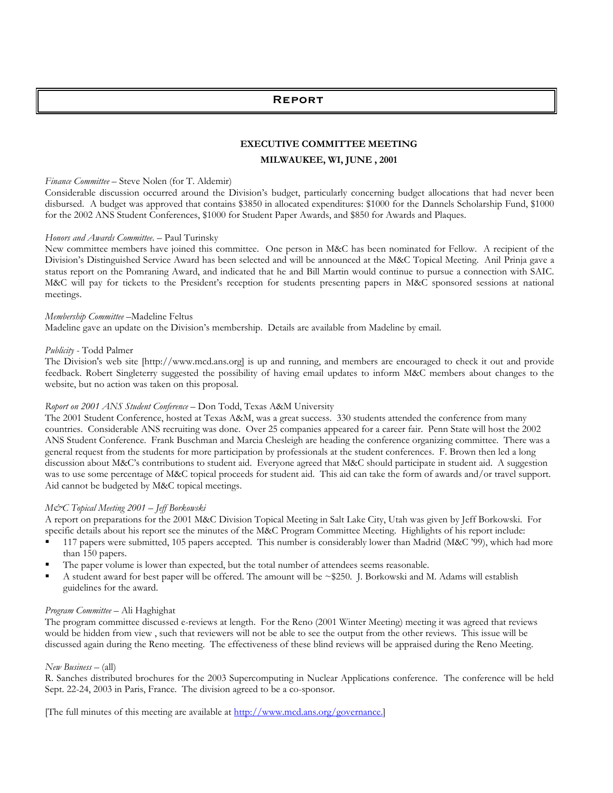## Report

## **EXECUTIVE COMMITTEE MEETING**

## **MILWAUKEE, WI, JUNE , 2001**

#### *Finance Committee* – Steve Nolen (for T. Aldemir)

Considerable discussion occurred around the Division's budget, particularly concerning budget allocations that had never been disbursed. A budget was approved that contains \$3850 in allocated expenditures: \$1000 for the Dannels Scholarship Fund, \$1000 for the 2002 ANS Student Conferences, \$1000 for Student Paper Awards, and \$850 for Awards and Plaques.

#### *Honors and Awards Committee*. – Paul Turinsky

New committee members have joined this committee. One person in M&C has been nominated for Fellow. A recipient of the Division's Distinguished Service Award has been selected and will be announced at the M&C Topical Meeting. Anil Prinja gave a status report on the Pomraning Award, and indicated that he and Bill Martin would continue to pursue a connection with SAIC. M&C will pay for tickets to the President's reception for students presenting papers in M&C sponsored sessions at national meetings.

#### *Membership Committee* –Madeline Feltus

Madeline gave an update on the Division's membership. Details are available from Madeline by email.

#### *Publicity* - Todd Palmer

The Division's web site [http://www.mcd.ans.org] is up and running, and members are encouraged to check it out and provide feedback. Robert Singleterry suggested the possibility of having email updates to inform M&C members about changes to the website, but no action was taken on this proposal.

## *Roport on 2001 ANS Student Conference* – Don Todd, Texas A&M University

The 2001 Student Conference, hosted at Texas A&M, was a great success. 330 students attended the conference from many countries. Considerable ANS recruiting was done. Over 25 companies appeared for a career fair. Penn State will host the 2002 ANS Student Conference. Frank Buschman and Marcia Chesleigh are heading the conference organizing committee. There was a general request from the students for more participation by professionals at the student conferences. F. Brown then led a long discussion about M&C's contributions to student aid. Everyone agreed that M&C should participate in student aid. A suggestion was to use some percentage of M&C topical proceeds for student aid. This aid can take the form of awards and/or travel support. Aid cannot be budgeted by M&C topical meetings.

#### *M&C Topical Meeting 2001 – Jeff Borkowski*

A report on preparations for the 2001 M&C Division Topical Meeting in Salt Lake City, Utah was given by Jeff Borkowski. For specific details about his report see the minutes of the M&C Program Committee Meeting. Highlights of his report include:

- ß 117 papers were submitted, 105 papers accepted. This number is considerably lower than Madrid (M&C '99), which had more than 150 papers.
- The paper volume is lower than expected, but the total number of attendees seems reasonable.
- A student award for best paper will be offered. The amount will be  $\sim$ \$250. J. Borkowski and M. Adams will establish guidelines for the award.

#### *Program Committee* – Ali Haghighat

The program committee discussed e-reviews at length. For the Reno (2001 Winter Meeting) meeting it was agreed that reviews would be hidden from view , such that reviewers will not be able to see the output from the other reviews. This issue will be discussed again during the Reno meeting. The effectiveness of these blind reviews will be appraised during the Reno Meeting.

#### *New Business –* (all)

R. Sanches distributed brochures for the 2003 Supercomputing in Nuclear Applications conference. The conference will be held Sept. 22-24, 2003 in Paris, France. The division agreed to be a co-sponsor.

[The full minutes of this meeting are available at http://www.mcd.ans.org/governance.]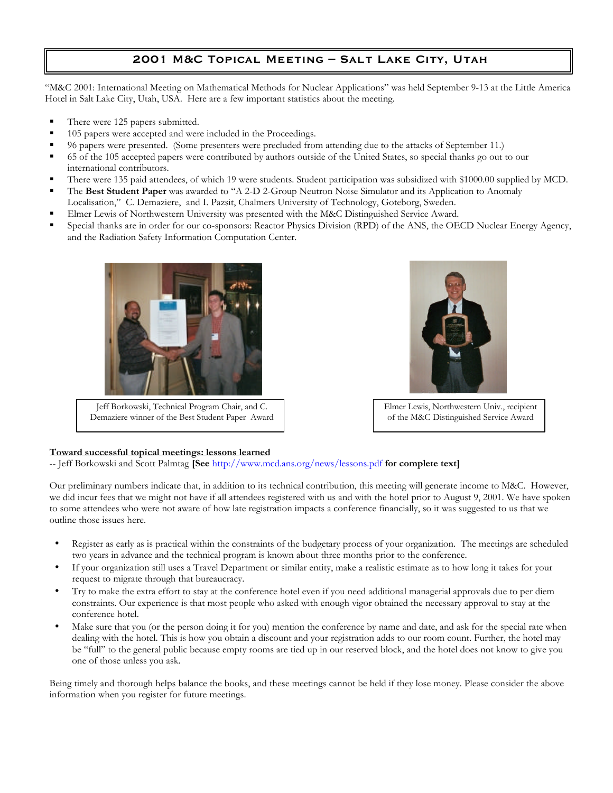## 2001 M&C Topical Meeting – Salt Lake City, Utah

"M&C 2001: International Meeting on Mathematical Methods for Nuclear Applications" was held September 9-13 at the Little America Hotel in Salt Lake City, Utah, USA. Here are a few important statistics about the meeting.

- There were 125 papers submitted.
- **105 papers were accepted and were included in the Proceedings.**
- ß 96 papers were presented. (Some presenters were precluded from attending due to the attacks of September 11.)
- ß 65 of the 105 accepted papers were contributed by authors outside of the United States, so special thanks go out to our international contributors.
- ß There were 135 paid attendees, of which 19 were students. Student participation was subsidized with \$1000.00 supplied by MCD.
- ß The **Best Student Paper** was awarded to "A 2-D 2-Group Neutron Noise Simulator and its Application to Anomaly
- Localisation," C. Demaziere, and I. Pazsit, Chalmers University of Technology, Goteborg, Sweden.
- ß Elmer Lewis of Northwestern University was presented with the M&C Distinguished Service Award.
- ß Special thanks are in order for our co-sponsors: Reactor Physics Division (RPD) of the ANS, the OECD Nuclear Energy Agency, and the Radiation Safety Information Computation Center.



Jeff Borkowski, Technical Program Chair, and C. Demaziere winner of the Best Student Paper Award



Elmer Lewis, Northwestern Univ., recipient of the M&C Distinguished Service Award

## **Toward successful topical meetings: lessons learned**

-- Jeff Borkowski and Scott Palmtag **[See** http://www.mcd.ans.org/news/lessons.pdf **for complete text]**

Our preliminary numbers indicate that, in addition to its technical contribution, this meeting will generate income to M&C. However, we did incur fees that we might not have if all attendees registered with us and with the hotel prior to August 9, 2001. We have spoken to some attendees who were not aware of how late registration impacts a conference financially, so it was suggested to us that we outline those issues here.

- Register as early as is practical within the constraints of the budgetary process of your organization. The meetings are scheduled two years in advance and the technical program is known about three months prior to the conference.
- If your organization still uses a Travel Department or similar entity, make a realistic estimate as to how long it takes for your request to migrate through that bureaucracy.
- Try to make the extra effort to stay at the conference hotel even if you need additional managerial approvals due to per diem constraints. Our experience is that most people who asked with enough vigor obtained the necessary approval to stay at the conference hotel.
- Make sure that you (or the person doing it for you) mention the conference by name and date, and ask for the special rate when dealing with the hotel. This is how you obtain a discount and your registration adds to our room count. Further, the hotel may be "full" to the general public because empty rooms are tied up in our reserved block, and the hotel does not know to give you one of those unless you ask.

Being timely and thorough helps balance the books, and these meetings cannot be held if they lose money. Please consider the above information when you register for future meetings.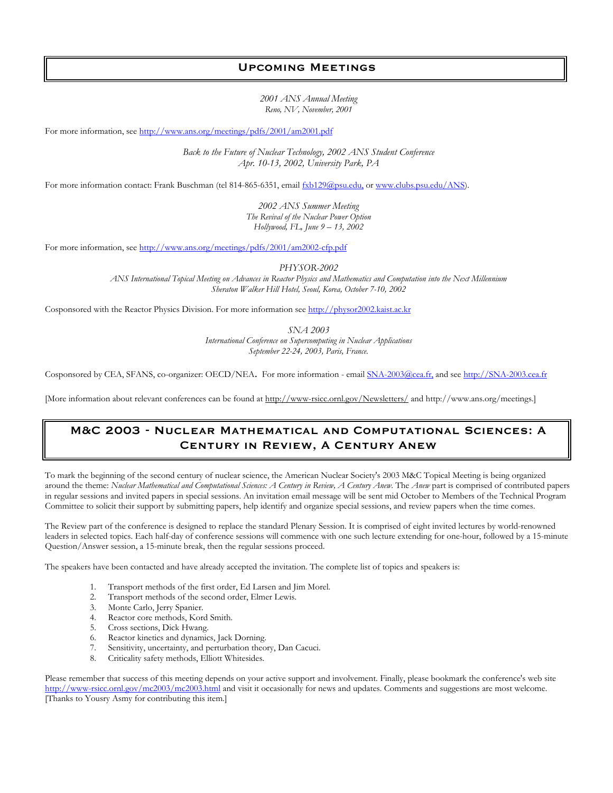## Upcoming Meetings

*2001 ANS Annual Meeting Reno, NV, November, 2001*

For more information, see http://www.ans.org/meetings/pdfs/2001/am2001.pdf

*Back to the Future of Nuclear Technology, 2002 ANS Student Conference Apr. 10-13, 2002, University Park, PA*

For more information contact: Frank Buschman (tel 814-865-6351, email  $f(xb129@psu.edu, or www.clubs.p.u.edu/ANS)$ ).

*2002 ANS Summer Meeting The Revival of the Nuclear Power Option Hollywood, FL, June 9 – 13, 2002*

For more information, see http://www.ans.org/meetings/pdfs/2001/am2002-cfp.pdf

*PHYSOR-2002*

*ANS International Topical Meeting on Advances in Reactor Physics and Mathematics and Computation into the Next Millennium Sheraton Walker Hill Hotel, Seoul, Korea, October 7-10, 2002*

Cosponsored with the Reactor Physics Division. For more information see http://physor2002.kaist.ac.kr

*SNA 2003*

*International Conference on Supercomputing in Nuclear Applications September 22-24, 2003, Paris, France.*

Cosponsored by CEA, SFANS, co-organizer: OECD/NEA. For more information - email SNA-2003@cea.fr, and see http://SNA-2003.cea.fr

[More information about relevant conferences can be found at http://www-rsicc.ornl.gov/Newsletters/ and http://www.ans.org/meetings.]

# M&C 2003 - Nuclear Mathematical and Computational Sciences: A Century in Review, A Century Anew

To mark the beginning of the second century of nuclear science, the American Nuclear Society's 2003 M&C Topical Meeting is being organized around the theme: *Nuclear Mathematical and Computational Sciences: A Century in Review, A Century Anew*. The *Anew* part is comprised of contributed papers in regular sessions and invited papers in special sessions. An invitation email message will be sent mid October to Members of the Technical Program Committee to solicit their support by submitting papers, help identify and organize special sessions, and review papers when the time comes.

The Review part of the conference is designed to replace the standard Plenary Session. It is comprised of eight invited lectures by world-renowned leaders in selected topics. Each half-day of conference sessions will commence with one such lecture extending for one-hour, followed by a 15-minute Question/Answer session, a 15-minute break, then the regular sessions proceed.

The speakers have been contacted and have already accepted the invitation. The complete list of topics and speakers is:

- 1. Transport methods of the first order, Ed Larsen and Jim Morel.
- 2. Transport methods of the second order, Elmer Lewis.
- 3. Monte Carlo, Jerry Spanier.
- 4. Reactor core methods, Kord Smith.
- 5. Cross sections, Dick Hwang.
- 6. Reactor kinetics and dynamics, Jack Dorning.
- 7. Sensitivity, uncertainty, and perturbation theory, Dan Cacuci.
- 8. Criticality safety methods, Elliott Whitesides.

Please remember that success of this meeting depends on your active support and involvement. Finally, please bookmark the conference's web site http://www-rsicc.ornl.gov/mc2003/mc2003.html and visit it occasionally for news and updates. Comments and suggestions are most welcome. [Thanks to Yousry Asmy for contributing this item.]